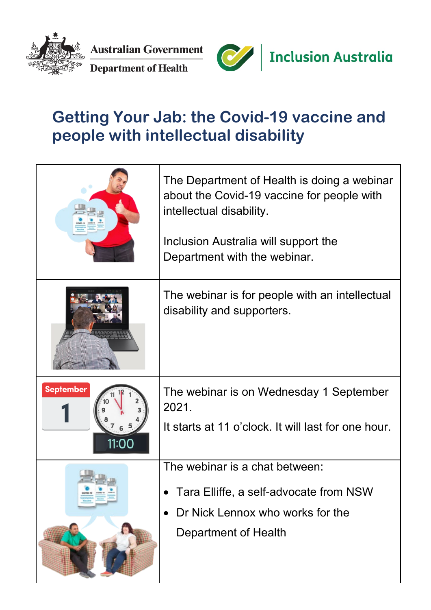

**Australian Government Department of Health** 



## **Getting Your Jab: the Covid-19 vaccine and people with intellectual disability**

|                           | The Department of Health is doing a webinar<br>about the Covid-19 vaccine for people with<br>intellectual disability.<br>Inclusion Australia will support the<br>Department with the webinar. |
|---------------------------|-----------------------------------------------------------------------------------------------------------------------------------------------------------------------------------------------|
|                           | The webinar is for people with an intellectual<br>disability and supporters.                                                                                                                  |
| <b>September</b><br>11:00 | The webinar is on Wednesday 1 September<br>2021.<br>It starts at 11 o'clock. It will last for one hour.                                                                                       |
|                           | The webinar is a chat between:<br>Tara Elliffe, a self-advocate from NSW<br>Dr Nick Lennox who works for the<br><b>Department of Health</b>                                                   |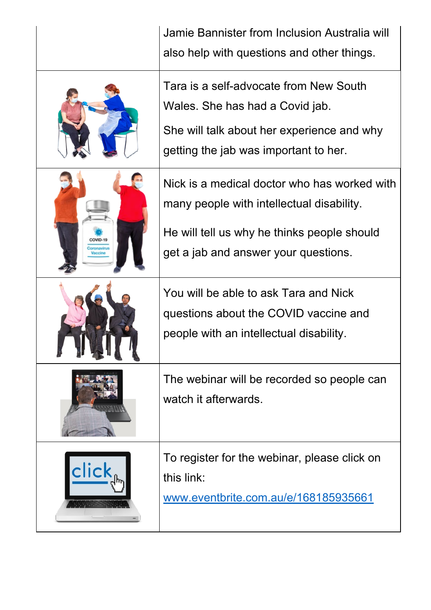|       | Jamie Bannister from Inclusion Australia will<br>also help with questions and other things.                                                                                      |
|-------|----------------------------------------------------------------------------------------------------------------------------------------------------------------------------------|
|       | Tara is a self-advocate from New South<br>Wales. She has had a Covid jab.<br>She will talk about her experience and why<br>getting the jab was important to her.                 |
|       | Nick is a medical doctor who has worked with<br>many people with intellectual disability.<br>He will tell us why he thinks people should<br>get a jab and answer your questions. |
|       | You will be able to ask Tara and Nick<br>questions about the COVID vaccine and<br>people with an intellectual disability.                                                        |
|       | The webinar will be recorded so people can<br>watch it afterwards.                                                                                                               |
| click | To register for the webinar, please click on<br>this link:<br>www.eventbrite.com.au/e/168185935661                                                                               |